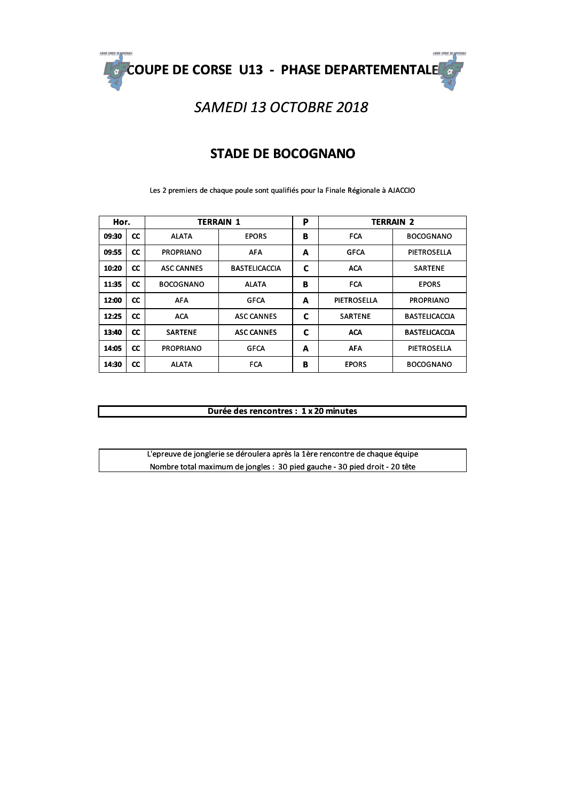

## SAMEDI 13 OCTOBRE 2018

#### **STADE DE BOCOGNANO**

Les 2 premiers de chaque poule sont qualifiés pour la Finale Régionale à AJACCIO

| Hor.  |           | <b>TERRAIN 1</b>  |                      | P | <b>TERRAIN 2</b> |                      |
|-------|-----------|-------------------|----------------------|---|------------------|----------------------|
| 09:30 | <b>CC</b> | <b>ALATA</b>      | <b>EPORS</b>         | В | <b>FCA</b>       | <b>BOCOGNANO</b>     |
| 09:55 | cc        | <b>PROPRIANO</b>  | <b>AFA</b>           | A | <b>GFCA</b>      | PIETROSELLA          |
| 10:20 | cc        | <b>ASC CANNES</b> | <b>BASTELICACCIA</b> | C | <b>ACA</b>       | <b>SARTENE</b>       |
| 11:35 | <b>CC</b> | <b>BOCOGNANO</b>  | <b>ALATA</b>         | B | <b>FCA</b>       | <b>EPORS</b>         |
| 12:00 | <b>CC</b> | <b>AFA</b>        | <b>GFCA</b>          | A | PIETROSELLA      | <b>PROPRIANO</b>     |
| 12:25 | <b>CC</b> | <b>ACA</b>        | <b>ASC CANNES</b>    | C | <b>SARTENE</b>   | <b>BASTELICACCIA</b> |
| 13:40 | $\alpha$  | <b>SARTENE</b>    | <b>ASC CANNES</b>    | C | <b>ACA</b>       | <b>BASTELICACCIA</b> |
| 14:05 | cc        | <b>PROPRIANO</b>  | <b>GFCA</b>          | A | <b>AFA</b>       | PIETROSELLA          |
| 14:30 | <b>CC</b> | <b>ALATA</b>      | <b>FCA</b>           | B | <b>EPORS</b>     | <b>BOCOGNANO</b>     |

#### Durée des rencontres : 1 x 20 minutes

L'epreuve de jonglerie se déroulera après la 1ère rencontre de chaque équipe Nombre total maximum de jongles : 30 pied gauche - 30 pied droit - 20 tête